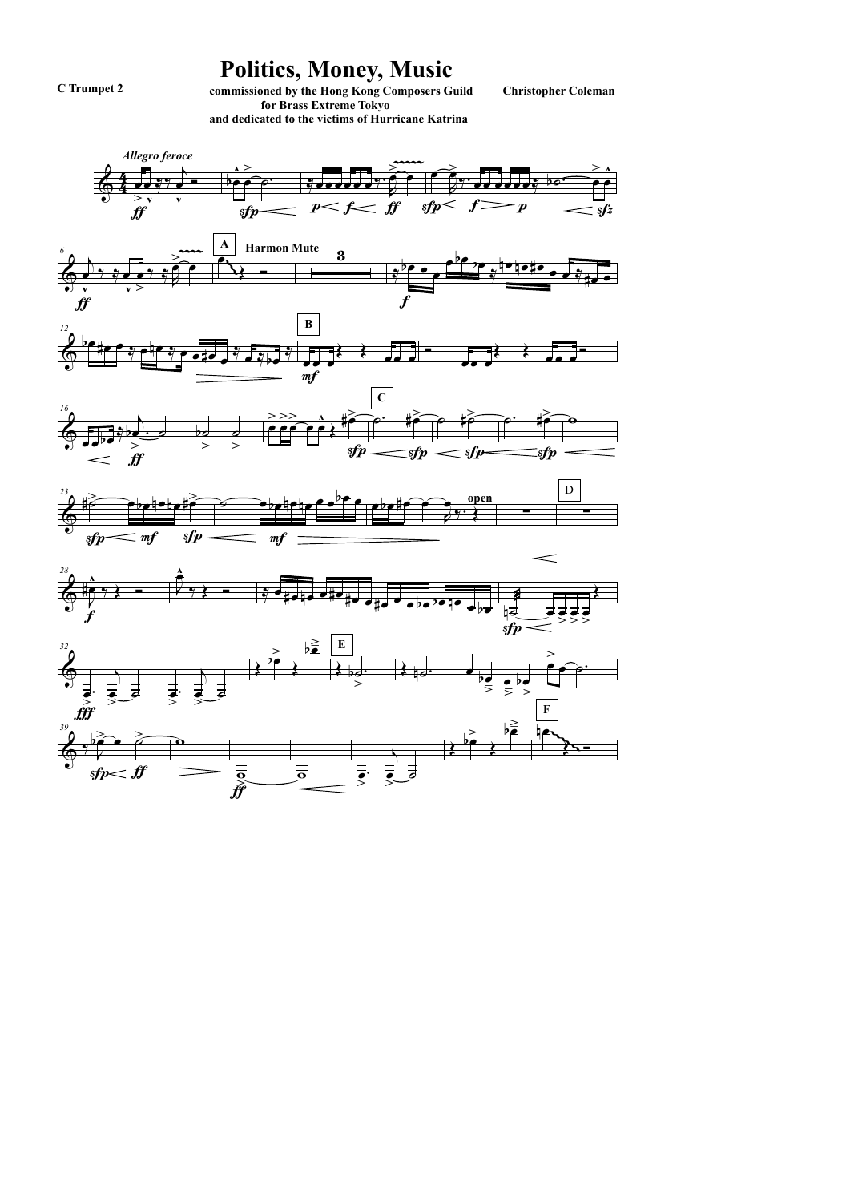## Politics, Money, Music

C Trumpet 2

commissioned by the Hong Kong Composers Guild for Brass Extreme Tokyo and dedicated to the victims of Hurricane Katrina

**Christopher Coleman** 

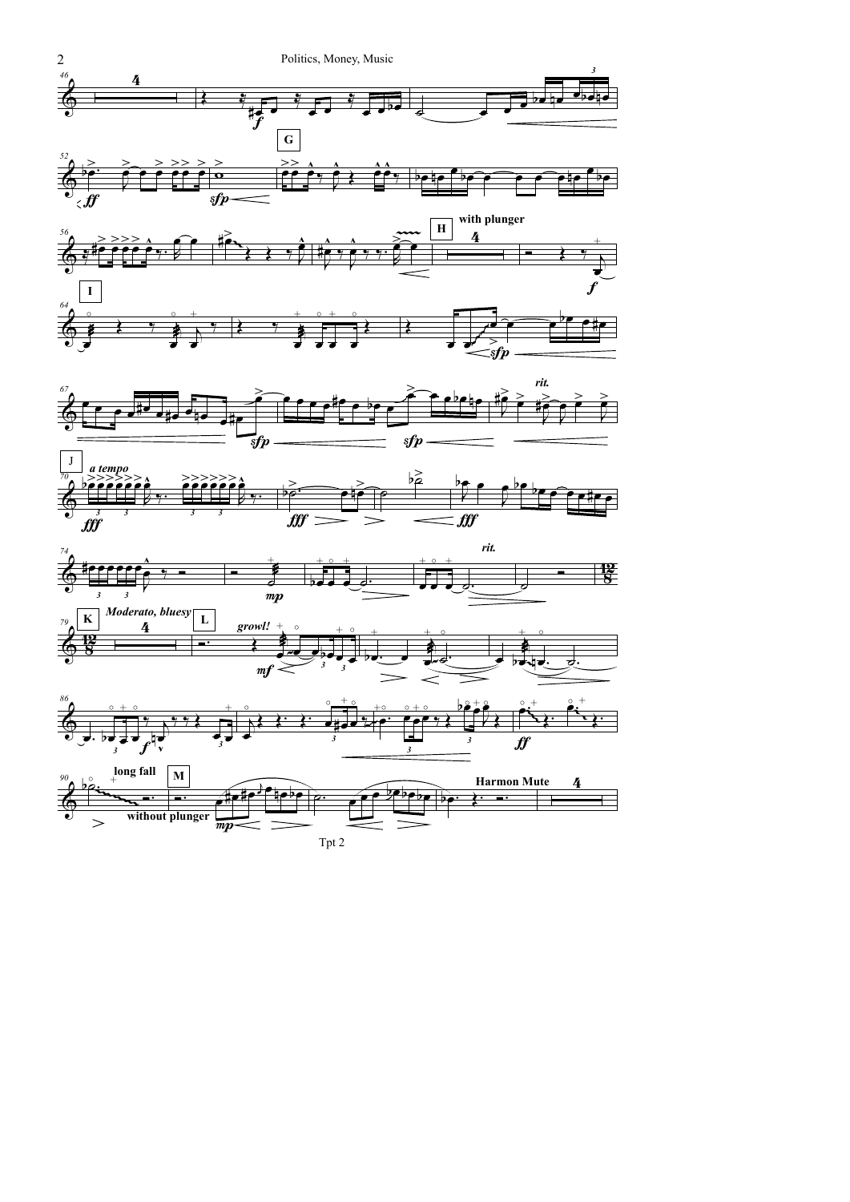